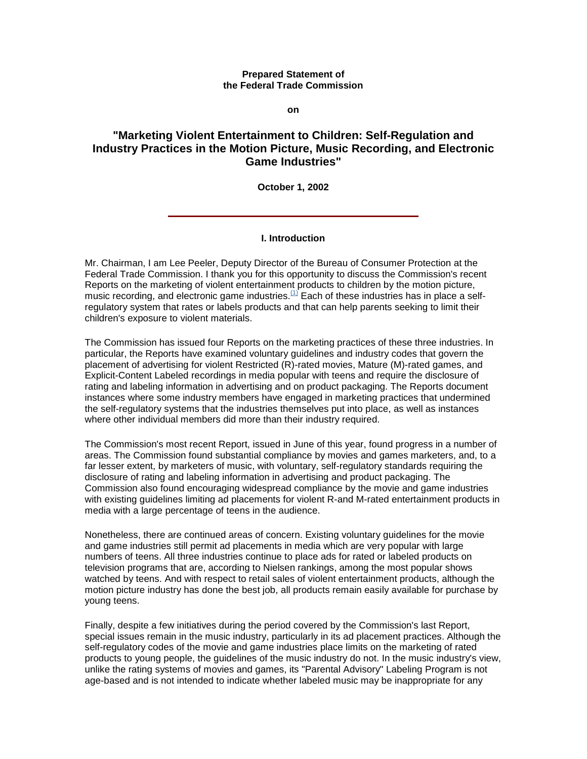#### **Prepared Statement of the Federal Trade Commission**

**on**

# **"Marketing Violent Entertainment to Children: Self-Regulation and Industry Practices in the Motion Picture, Music Recording, and Electronic Game Industries"**

**October 1, 2002**

## **I. Introduction**

Mr. Chairman, I am Lee Peeler, Deputy Director of the Bureau of Consumer Protection at the Federal Trade Commission. I thank you for this opportunity to discuss the Commission's recent Reports on the marketing of violent entertainment products to children by the motion picture, music recording, and electronic game industries. $(1)$  Each of these industries has in place a selfregulatory system that rates or labels products and that can help parents seeking to limit their children's exposure to violent materials.

The Commission has issued four Reports on the marketing practices of these three industries. In particular, the Reports have examined voluntary guidelines and industry codes that govern the placement of advertising for violent Restricted (R)-rated movies, Mature (M)-rated games, and Explicit-Content Labeled recordings in media popular with teens and require the disclosure of rating and labeling information in advertising and on product packaging. The Reports document instances where some industry members have engaged in marketing practices that undermined the self-regulatory systems that the industries themselves put into place, as well as instances where other individual members did more than their industry required.

The Commission's most recent Report, issued in June of this year, found progress in a number of areas. The Commission found substantial compliance by movies and games marketers, and, to a far lesser extent, by marketers of music, with voluntary, self-regulatory standards requiring the disclosure of rating and labeling information in advertising and product packaging. The Commission also found encouraging widespread compliance by the movie and game industries with existing guidelines limiting ad placements for violent R-and M-rated entertainment products in media with a large percentage of teens in the audience.

Nonetheless, there are continued areas of concern. Existing voluntary guidelines for the movie and game industries still permit ad placements in media which are very popular with large numbers of teens. All three industries continue to place ads for rated or labeled products on television programs that are, according to Nielsen rankings, among the most popular shows watched by teens. And with respect to retail sales of violent entertainment products, although the motion picture industry has done the best job, all products remain easily available for purchase by young teens.

Finally, despite a few initiatives during the period covered by the Commission's last Report, special issues remain in the music industry, particularly in its ad placement practices. Although the self-regulatory codes of the movie and game industries place limits on the marketing of rated products to young people, the guidelines of the music industry do not. In the music industry's view, unlike the rating systems of movies and games, its "Parental Advisory" Labeling Program is not age-based and is not intended to indicate whether labeled music may be inappropriate for any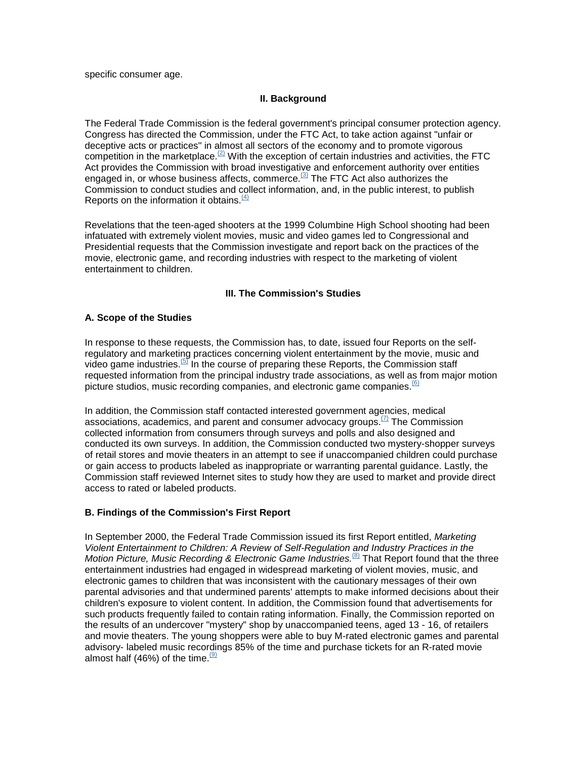specific consumer age.

## **II. Background**

The Federal Trade Commission is the federal government's principal consumer protection agency. Congress has directed the Commission, under the FTC Act, to take action against "unfair or deceptive acts or practices" in almost all sectors of the economy and to promote vigorous competition in the marketplace.<sup>(2)</sup> With the exception of certain industries and activities, the FTC Act provides the Commission with broad investigative and enforcement authority over entities engaged in, or whose business affects, commerce. $(3)$  The FTC Act also authorizes the Commission to conduct studies and collect information, and, in the public interest, to publish Reports on the information it obtains. $(4)$ 

Revelations that the teen-aged shooters at the 1999 Columbine High School shooting had been infatuated with extremely violent movies, music and video games led to Congressional and Presidential requests that the Commission investigate and report back on the practices of the movie, electronic game, and recording industries with respect to the marketing of violent entertainment to children.

## **III. The Commission's Studies**

## **A. Scope of the Studies**

In response to these requests, the Commission has, to date, issued four Reports on the selfregulatory and marketing practices concerning violent entertainment by the movie, music and video game industries.<sup>(5)</sup> In the course of preparing these Reports, the Commission staff requested information from the principal industry trade associations, as well as from major motion picture studios, music recording companies, and electronic game companies. $^{(6)}$ 

In addition, the Commission staff contacted interested government agencies, medical associations, academics, and parent and consumer advocacy groups. $(7)$  The Commission collected information from consumers through surveys and polls and also designed and conducted its own surveys. In addition, the Commission conducted two mystery-shopper surveys of retail stores and movie theaters in an attempt to see if unaccompanied children could purchase or gain access to products labeled as inappropriate or warranting parental guidance. Lastly, the Commission staff reviewed Internet sites to study how they are used to market and provide direct access to rated or labeled products.

## **B. Findings of the Commission's First Report**

In September 2000, the Federal Trade Commission issued its first Report entitled, *Marketing Violent Entertainment to Children: A Review of Self-Regulation and Industry Practices in the Motion Picture, Music Recording & Electronic Game Industries.*<sup>(8)</sup> That Report found that the three entertainment industries had engaged in widespread marketing of violent movies, music, and electronic games to children that was inconsistent with the cautionary messages of their own parental advisories and that undermined parents' attempts to make informed decisions about their children's exposure to violent content. In addition, the Commission found that advertisements for such products frequently failed to contain rating information. Finally, the Commission reported on the results of an undercover "mystery" shop by unaccompanied teens, aged 13 - 16, of retailers and movie theaters. The young shoppers were able to buy M-rated electronic games and parental advisory- labeled music recordings 85% of the time and purchase tickets for an R-rated movie almost half (46%) of the time.  $(9)$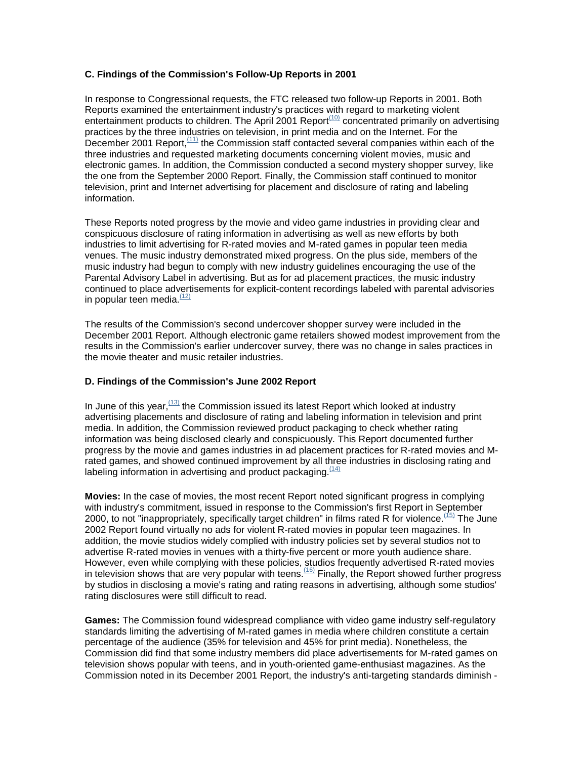## **C. Findings of the Commission's Follow-Up Reports in 2001**

In response to Congressional requests, the FTC released two follow-up Reports in 2001. Both Reports examined the entertainment industry's practices with regard to marketing violent entertainment products to children. The April 2001 Report<sup>(10)</sup> concentrated primarily on advertising practices by the three industries on television, in print media and on the Internet. For the December 2001 Report,  $(11)$  the Commission staff contacted several companies within each of the three industries and requested marketing documents concerning violent movies, music and electronic games. In addition, the Commission conducted a second mystery shopper survey, like the one from the September 2000 Report. Finally, the Commission staff continued to monitor television, print and Internet advertising for placement and disclosure of rating and labeling information.

These Reports noted progress by the movie and video game industries in providing clear and conspicuous disclosure of rating information in advertising as well as new efforts by both industries to limit advertising for R-rated movies and M-rated games in popular teen media venues. The music industry demonstrated mixed progress. On the plus side, members of the music industry had begun to comply with new industry guidelines encouraging the use of the Parental Advisory Label in advertising. But as for ad placement practices, the music industry continued to place advertisements for explicit-content recordings labeled with parental advisories in popular teen media. $\frac{(12)}{2}$ 

The results of the Commission's second undercover shopper survey were included in the December 2001 Report. Although electronic game retailers showed modest improvement from the results in the Commission's earlier undercover survey, there was no change in sales practices in the movie theater and music retailer industries.

## **D. Findings of the Commission's June 2002 Report**

In June of this year,  $(13)$  the Commission issued its latest Report which looked at industry advertising placements and disclosure of rating and labeling information in television and print media. In addition, the Commission reviewed product packaging to check whether rating information was being disclosed clearly and conspicuously. This Report documented further progress by the movie and games industries in ad placement practices for R-rated movies and Mrated games, and showed continued improvement by all three industries in disclosing rating and labeling information in advertising and product packaging.  $(14)$ 

**Movies:** In the case of movies, the most recent Report noted significant progress in complying with industry's commitment, issued in response to the Commission's first Report in September 2000, to not "inappropriately, specifically target children" in films rated R for violence.  $(15)$  The June 2002 Report found virtually no ads for violent R-rated movies in popular teen magazines. In addition, the movie studios widely complied with industry policies set by several studios not to advertise R-rated movies in venues with a thirty-five percent or more youth audience share. However, even while complying with these policies, studios frequently advertised R-rated movies in television shows that are very popular with teens.<sup> $(16)$ </sup> Finally, the Report showed further progress by studios in disclosing a movie's rating and rating reasons in advertising, although some studios' rating disclosures were still difficult to read.

**Games:** The Commission found widespread compliance with video game industry self-regulatory standards limiting the advertising of M-rated games in media where children constitute a certain percentage of the audience (35% for television and 45% for print media). Nonetheless, the Commission did find that some industry members did place advertisements for M-rated games on television shows popular with teens, and in youth-oriented game-enthusiast magazines. As the Commission noted in its December 2001 Report, the industry's anti-targeting standards diminish -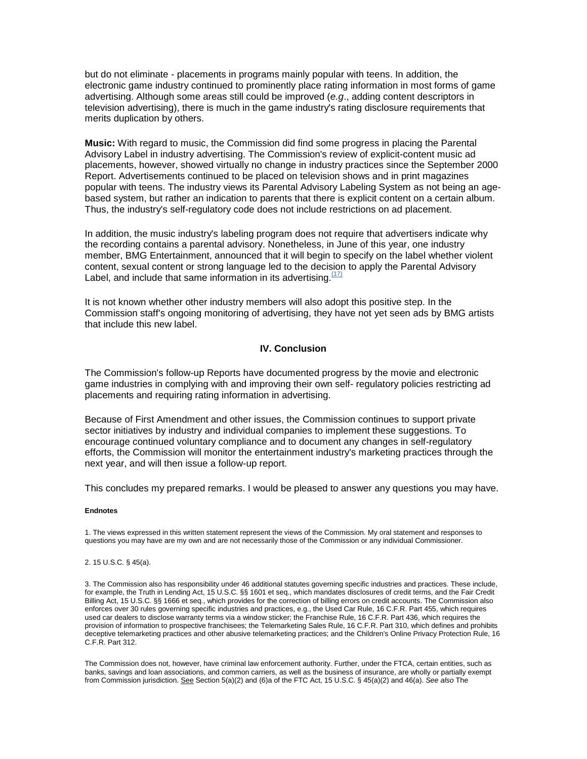but do not eliminate - placements in programs mainly popular with teens. In addition, the electronic game industry continued to prominently place rating information in most forms of game advertising. Although some areas still could be improved (*e.g*., adding content descriptors in television advertising), there is much in the game industry's rating disclosure requirements that merits duplication by others.

**Music:** With regard to music, the Commission did find some progress in placing the Parental Advisory Label in industry advertising. The Commission's review of explicit-content music ad placements, however, showed virtually no change in industry practices since the September 2000 Report. Advertisements continued to be placed on television shows and in print magazines popular with teens. The industry views its Parental Advisory Labeling System as not being an agebased system, but rather an indication to parents that there is explicit content on a certain album. Thus, the industry's self-regulatory code does not include restrictions on ad placement.

In addition, the music industry's labeling program does not require that advertisers indicate why the recording contains a parental advisory. Nonetheless, in June of this year, one industry member, BMG Entertainment, announced that it will begin to specify on the label whether violent content, sexual content or strong language led to the decision to apply the Parental Advisory Label, and include that same information in its advertising. $(17)$ 

It is not known whether other industry members will also adopt this positive step. In the Commission staff's ongoing monitoring of advertising, they have not yet seen ads by BMG artists that include this new label.

## **IV. Conclusion**

The Commission's follow-up Reports have documented progress by the movie and electronic game industries in complying with and improving their own self- regulatory policies restricting ad placements and requiring rating information in advertising.

Because of First Amendment and other issues, the Commission continues to support private sector initiatives by industry and individual companies to implement these suggestions. To encourage continued voluntary compliance and to document any changes in self-regulatory efforts, the Commission will monitor the entertainment industry's marketing practices through the next year, and will then issue a follow-up report.

This concludes my prepared remarks. I would be pleased to answer any questions you may have.

#### **Endnotes**

1. The views expressed in this written statement represent the views of the Commission. My oral statement and responses to questions you may have are my own and are not necessarily those of the Commission or any individual Commissioner.

#### 2. 15 U.S.C. § 45(a).

3. The Commission also has responsibility under 46 additional statutes governing specific industries and practices. These include, for example, the Truth in Lending Act, 15 U.S.C. §§ 1601 et seq., which mandates disclosures of credit terms, and the Fair Credit Billing Act, 15 U.S.C. §§ 1666 et seq., which provides for the correction of billing errors on credit accounts. The Commission also enforces over 30 rules governing specific industries and practices, e.g., the Used Car Rule, 16 C.F.R. Part 455, which requires used car dealers to disclose warranty terms via a window sticker; the Franchise Rule, 16 C.F.R. Part 436, which requires the provision of information to prospective franchisees; the Telemarketing Sales Rule, 16 C.F.R. Part 310, which defines and prohibits deceptive telemarketing practices and other abusive telemarketing practices; and the Children's Online Privacy Protection Rule, 16 C.F.R. Part 312.

The Commission does not, however, have criminal law enforcement authority. Further, under the FTCA, certain entities, such as banks, savings and loan associations, and common carriers, as well as the business of insurance, are wholly or partially exempt from Commission jurisdiction. See Section 5(a)(2) and (6)a of the FTC Act, 15 U.S.C. § 45(a)(2) and 46(a). *See also* The